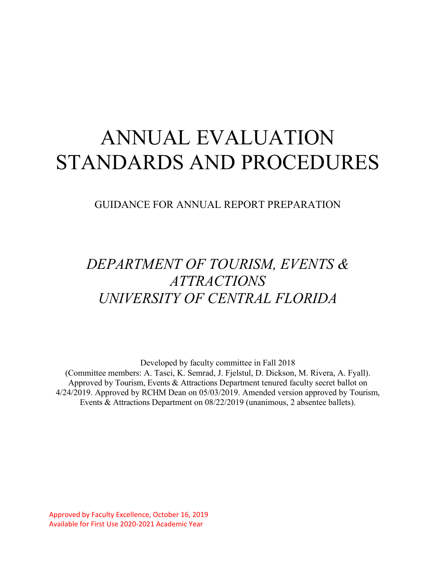# ANNUAL EVALUATION STANDARDS AND PROCEDURES

GUIDANCE FOR ANNUAL REPORT PREPARATION

# *DEPARTMENT OF TOURISM, EVENTS & ATTRACTIONS UNIVERSITY OF CENTRAL FLORIDA*

Developed by faculty committee in Fall 2018

(Committee members: A. Tasci, K. Semrad, J. Fjelstul, D. Dickson, M. Rivera, A. Fyall). Approved by Tourism, Events & Attractions Department tenured faculty secret ballot on 4/24/2019. Approved by RCHM Dean on 05/03/2019. Amended version approved by Tourism, Events & Attractions Department on 08/22/2019 (unanimous, 2 absentee ballets).

Approved by Faculty Excellence, October 16, 2019 Available for First Use 2020-2021 Academic Year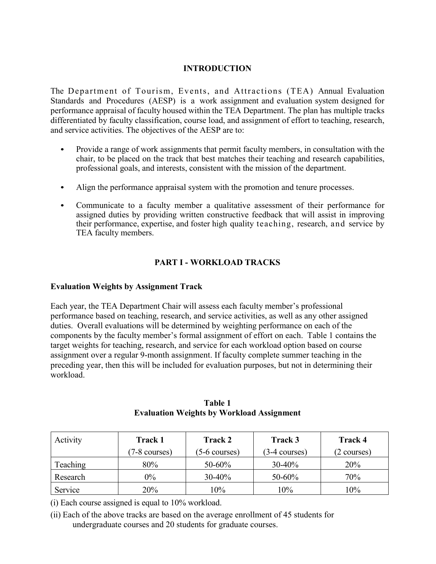# **INTRODUCTION**

The Department of Tourism, Events, and Attractions (TEA) Annual Evaluation Standards and Procedures (AESP) is a work assignment and evaluation system designed for performance appraisal of faculty housed within the TEA Department. The plan has multiple tracks differentiated by faculty classification, course load, and assignment of effort to teaching, research, and service activities. The objectives of the AESP are to:

- *•* Provide a range of work assignments that permit faculty members, in consultation with the chair, to be placed on the track that best matches their teaching and research capabilities, professional goals, and interests, consistent with the mission of the department.
- *•* Align the performance appraisal system with the promotion and tenure processes.
- *•* Communicate to a faculty member a qualitative assessment of their performance for assigned duties by providing written constructive feedback that will assist in improving their performance, expertise, and foster high quality teaching, research, and service by TEA faculty members.

# **PART I - WORKLOAD TRACKS**

#### **Evaluation Weights by Assignment Track**

Each year, the TEA Department Chair will assess each faculty member's professional performance based on teaching, research, and service activities, as well as any other assigned duties. Overall evaluations will be determined by weighting performance on each of the components by the faculty member's formal assignment of effort on each. Table 1 contains the target weights for teaching, research, and service for each workload option based on course assignment over a regular 9-month assignment. If faculty complete summer teaching in the preceding year, then this will be included for evaluation purposes, but not in determining their workload.

| Activity | <b>Track 1</b>          | Track 2                 | Track 3                 | <b>Track 4</b> |
|----------|-------------------------|-------------------------|-------------------------|----------------|
|          | $(7-8 \text{ courses})$ | $(5-6 \text{ courses})$ | $(3-4 \text{ courses})$ | (2 courses)    |
| Teaching | 80%                     | 50-60%                  | $30-40%$                | 20%            |
| Research | $0\%$                   | $30 - 40%$              | 50-60%                  | 70%            |
| Service  | 20%                     | 10%                     | 10%                     | 10%            |

**Table 1 Evaluation Weights by Workload Assignment**

(i) Each course assigned is equal to 10% workload.

(ii) Each of the above tracks are based on the average enrollment of 45 students for undergraduate courses and 20 students for graduate courses.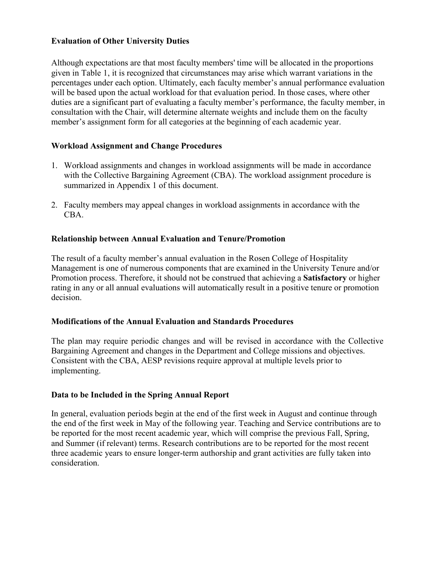#### **Evaluation of Other University Duties**

Although expectations are that most faculty members' time will be allocated in the proportions given in Table 1, it is recognized that circumstances may arise which warrant variations in the percentages under each option. Ultimately, each faculty member's annual performance evaluation will be based upon the actual workload for that evaluation period. In those cases, where other duties are a significant part of evaluating a faculty member's performance, the faculty member, in consultation with the Chair, will determine alternate weights and include them on the faculty member's assignment form for all categories at the beginning of each academic year.

#### **Workload Assignment and Change Procedures**

- 1. Workload assignments and changes in workload assignments will be made in accordance with the Collective Bargaining Agreement (CBA). The workload assignment procedure is summarized in Appendix 1 of this document.
- 2. Faculty members may appeal changes in workload assignments in accordance with the CBA.

#### **Relationship between Annual Evaluation and Tenure/Promotion**

The result of a faculty member's annual evaluation in the Rosen College of Hospitality Management is one of numerous components that are examined in the University Tenure and/or Promotion process. Therefore, it should not be construed that achieving a **Satisfactory** or higher rating in any or all annual evaluations will automatically result in a positive tenure or promotion decision.

#### **Modifications of the Annual Evaluation and Standards Procedures**

The plan may require periodic changes and will be revised in accordance with the Collective Bargaining Agreement and changes in the Department and College missions and objectives. Consistent with the CBA, AESP revisions require approval at multiple levels prior to implementing.

#### **Data to be Included in the Spring Annual Report**

In general, evaluation periods begin at the end of the first week in August and continue through the end of the first week in May of the following year. Teaching and Service contributions are to be reported for the most recent academic year, which will comprise the previous Fall, Spring, and Summer (if relevant) terms. Research contributions are to be reported for the most recent three academic years to ensure longer-term authorship and grant activities are fully taken into consideration.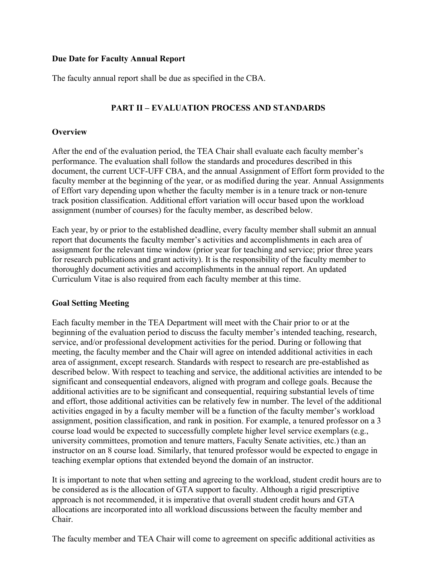#### **Due Date for Faculty Annual Report**

The faculty annual report shall be due as specified in the CBA.

# **PART II – EVALUATION PROCESS AND STANDARDS**

#### **Overview**

After the end of the evaluation period, the TEA Chair shall evaluate each faculty member's performance. The evaluation shall follow the standards and procedures described in this document, the current UCF-UFF CBA, and the annual Assignment of Effort form provided to the faculty member at the beginning of the year, or as modified during the year. Annual Assignments of Effort vary depending upon whether the faculty member is in a tenure track or non-tenure track position classification. Additional effort variation will occur based upon the workload assignment (number of courses) for the faculty member, as described below.

Each year, by or prior to the established deadline, every faculty member shall submit an annual report that documents the faculty member's activities and accomplishments in each area of assignment for the relevant time window (prior year for teaching and service; prior three years for research publications and grant activity). It is the responsibility of the faculty member to thoroughly document activities and accomplishments in the annual report. An updated Curriculum Vitae is also required from each faculty member at this time.

#### **Goal Setting Meeting**

Each faculty member in the TEA Department will meet with the Chair prior to or at the beginning of the evaluation period to discuss the faculty member's intended teaching, research, service, and/or professional development activities for the period. During or following that meeting, the faculty member and the Chair will agree on intended additional activities in each area of assignment, except research. Standards with respect to research are pre-established as described below. With respect to teaching and service, the additional activities are intended to be significant and consequential endeavors, aligned with program and college goals. Because the additional activities are to be significant and consequential, requiring substantial levels of time and effort, those additional activities can be relatively few in number. The level of the additional activities engaged in by a faculty member will be a function of the faculty member's workload assignment, position classification, and rank in position. For example, a tenured professor on a 3 course load would be expected to successfully complete higher level service exemplars (e.g., university committees, promotion and tenure matters, Faculty Senate activities, etc.) than an instructor on an 8 course load. Similarly, that tenured professor would be expected to engage in teaching exemplar options that extended beyond the domain of an instructor.

It is important to note that when setting and agreeing to the workload, student credit hours are to be considered as is the allocation of GTA support to faculty. Although a rigid prescriptive approach is not recommended, it is imperative that overall student credit hours and GTA allocations are incorporated into all workload discussions between the faculty member and Chair.

The faculty member and TEA Chair will come to agreement on specific additional activities as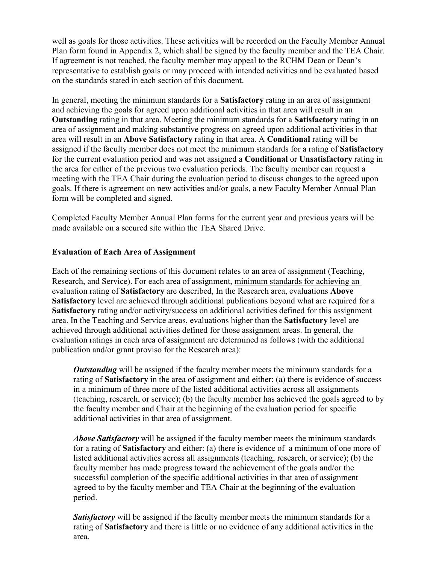well as goals for those activities. These activities will be recorded on the Faculty Member Annual Plan form found in Appendix 2, which shall be signed by the faculty member and the TEA Chair. If agreement is not reached, the faculty member may appeal to the RCHM Dean or Dean's representative to establish goals or may proceed with intended activities and be evaluated based on the standards stated in each section of this document.

In general, meeting the minimum standards for a **Satisfactory** rating in an area of assignment and achieving the goals for agreed upon additional activities in that area will result in an **Outstanding** rating in that area. Meeting the minimum standards for a **Satisfactory** rating in an area of assignment and making substantive progress on agreed upon additional activities in that area will result in an **Above Satisfactory** rating in that area. A **Conditional** rating will be assigned if the faculty member does not meet the minimum standards for a rating of **Satisfactory** for the current evaluation period and was not assigned a **Conditional** or **Unsatisfactory** rating in the area for either of the previous two evaluation periods. The faculty member can request a meeting with the TEA Chair during the evaluation period to discuss changes to the agreed upon goals. If there is agreement on new activities and/or goals, a new Faculty Member Annual Plan form will be completed and signed.

Completed Faculty Member Annual Plan forms for the current year and previous years will be made available on a secured site within the TEA Shared Drive.

#### **Evaluation of Each Area of Assignment**

Each of the remaining sections of this document relates to an area of assignment (Teaching, Research, and Service). For each area of assignment, minimum standards for achieving an evaluation rating of **Satisfactory** are described, In the Research area, evaluations **Above Satisfactory** level are achieved through additional publications beyond what are required for a **Satisfactory** rating and/or activity/success on additional activities defined for this assignment area. In the Teaching and Service areas, evaluations higher than the **Satisfactory** level are achieved through additional activities defined for those assignment areas. In general, the evaluation ratings in each area of assignment are determined as follows (with the additional publication and/or grant proviso for the Research area):

*Outstanding* will be assigned if the faculty member meets the minimum standards for a rating of **Satisfactory** in the area of assignment and either: (a) there is evidence of success in a minimum of three more of the listed additional activities across all assignments (teaching, research, or service); (b) the faculty member has achieved the goals agreed to by the faculty member and Chair at the beginning of the evaluation period for specific additional activities in that area of assignment.

*Above Satisfactory* will be assigned if the faculty member meets the minimum standards for a rating of **Satisfactory** and either: (a) there is evidence of a minimum of one more of listed additional activities across all assignments (teaching, research, or service); (b) the faculty member has made progress toward the achievement of the goals and/or the successful completion of the specific additional activities in that area of assignment agreed to by the faculty member and TEA Chair at the beginning of the evaluation period.

**Satisfactory** will be assigned if the faculty member meets the minimum standards for a rating of **Satisfactory** and there is little or no evidence of any additional activities in the area.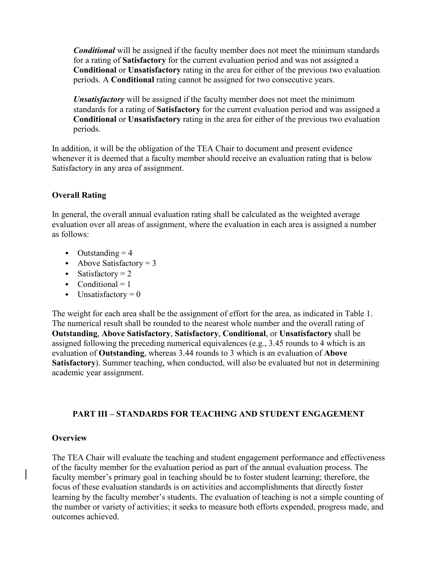*Conditional* will be assigned if the faculty member does not meet the minimum standards for a rating of **Satisfactory** for the current evaluation period and was not assigned a **Conditional** or **Unsatisfactory** rating in the area for either of the previous two evaluation periods. A **Conditional** rating cannot be assigned for two consecutive years.

*Unsatisfactory* will be assigned if the faculty member does not meet the minimum standards for a rating of **Satisfactory** for the current evaluation period and was assigned a **Conditional** or **Unsatisfactory** rating in the area for either of the previous two evaluation periods.

In addition, it will be the obligation of the TEA Chair to document and present evidence whenever it is deemed that a faculty member should receive an evaluation rating that is below Satisfactory in any area of assignment.

#### **Overall Rating**

In general, the overall annual evaluation rating shall be calculated as the weighted average evaluation over all areas of assignment, where the evaluation in each area is assigned a number as follows:

- *•* Outstanding = 4
- Above Satisfactory = 3
- Satisfactory = 2
- Conditional = 1
- Unsatisfactory = 0

The weight for each area shall be the assignment of effort for the area, as indicated in Table 1. The numerical result shall be rounded to the nearest whole number and the overall rating of **Outstanding**, **Above Satisfactory**, **Satisfactory**, **Conditional**, or **Unsatisfactory** shall be assigned following the preceding numerical equivalences (e.g., 3.45 rounds to 4 which is an evaluation of **Outstanding**, whereas 3.44 rounds to 3 which is an evaluation of **Above Satisfactory**). Summer teaching, when conducted, will also be evaluated but not in determining academic year assignment.

#### **PART III – STANDARDS FOR TEACHING AND STUDENT ENGAGEMENT**

#### **Overview**

The TEA Chair will evaluate the teaching and student engagement performance and effectiveness of the faculty member for the evaluation period as part of the annual evaluation process. The faculty member's primary goal in teaching should be to foster student learning; therefore, the focus of these evaluation standards is on activities and accomplishments that directly foster learning by the faculty member's students. The evaluation of teaching is not a simple counting of the number or variety of activities; it seeks to measure both efforts expended, progress made, and outcomes achieved.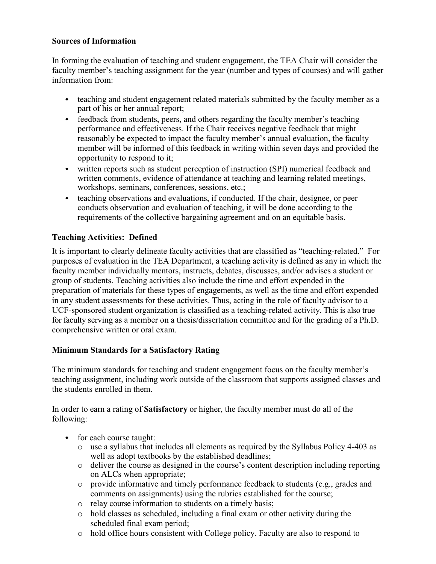#### **Sources of Information**

In forming the evaluation of teaching and student engagement, the TEA Chair will consider the faculty member's teaching assignment for the year (number and types of courses) and will gather information from:

- teaching and student engagement related materials submitted by the faculty member as a part of his or her annual report;
- feedback from students, peers, and others regarding the faculty member's teaching performance and effectiveness. If the Chair receives negative feedback that might reasonably be expected to impact the faculty member's annual evaluation, the faculty member will be informed of this feedback in writing within seven days and provided the opportunity to respond to it;
- *•* written reports such as student perception of instruction (SPI) numerical feedback and written comments, evidence of attendance at teaching and learning related meetings, workshops, seminars, conferences, sessions, etc.;
- teaching observations and evaluations, if conducted. If the chair, designee, or peer conducts observation and evaluation of teaching, it will be done according to the requirements of the collective bargaining agreement and on an equitable basis.

# **Teaching Activities: Defined**

It is important to clearly delineate faculty activities that are classified as "teaching-related." For purposes of evaluation in the TEA Department, a teaching activity is defined as any in which the faculty member individually mentors, instructs, debates, discusses, and/or advises a student or group of students. Teaching activities also include the time and effort expended in the preparation of materials for these types of engagements, as well as the time and effort expended in any student assessments for these activities. Thus, acting in the role of faculty advisor to a UCF-sponsored student organization is classified as a teaching-related activity. This is also true for faculty serving as a member on a thesis/dissertation committee and for the grading of a Ph.D. comprehensive written or oral exam.

#### **Minimum Standards for a Satisfactory Rating**

The minimum standards for teaching and student engagement focus on the faculty member's teaching assignment, including work outside of the classroom that supports assigned classes and the students enrolled in them.

In order to earn a rating of **Satisfactory** or higher, the faculty member must do all of the following:

- for each course taught:
	- o use a syllabus that includes all elements as required by the Syllabus Policy 4-403 as well as adopt textbooks by the established deadlines;
	- o deliver the course as designed in the course's content description including reporting on ALCs when appropriate;
	- o provide informative and timely performance feedback to students (e.g., grades and comments on assignments) using the rubrics established for the course;
	- o relay course information to students on a timely basis;
	- o hold classes as scheduled, including a final exam or other activity during the scheduled final exam period;
	- o hold office hours consistent with College policy. Faculty are also to respond to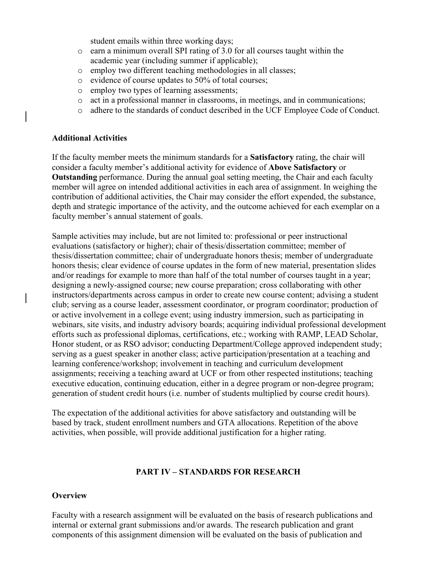student emails within three working days;

- o earn a minimum overall SPI rating of 3.0 for all courses taught within the academic year (including summer if applicable);
- o employ two different teaching methodologies in all classes;
- o evidence of course updates to 50% of total courses;
- o employ two types of learning assessments;
- o act in a professional manner in classrooms, in meetings, and in communications;
- o adhere to the standards of conduct described in the UCF Employee Code of Conduct.

#### **Additional Activities**

If the faculty member meets the minimum standards for a **Satisfactory** rating, the chair will consider a faculty member's additional activity for evidence of **Above Satisfactory** or **Outstanding** performance. During the annual goal setting meeting, the Chair and each faculty member will agree on intended additional activities in each area of assignment. In weighing the contribution of additional activities, the Chair may consider the effort expended, the substance, depth and strategic importance of the activity, and the outcome achieved for each exemplar on a faculty member's annual statement of goals.

Sample activities may include, but are not limited to: professional or peer instructional evaluations (satisfactory or higher); chair of thesis/dissertation committee; member of thesis/dissertation committee; chair of undergraduate honors thesis; member of undergraduate honors thesis; clear evidence of course updates in the form of new material, presentation slides and/or readings for example to more than half of the total number of courses taught in a year; designing a newly-assigned course; new course preparation; cross collaborating with other instructors/departments across campus in order to create new course content; advising a student club; serving as a course leader, assessment coordinator, or program coordinator; production of or active involvement in a college event; using industry immersion, such as participating in webinars, site visits, and industry advisory boards; acquiring individual professional development efforts such as professional diplomas, certifications, etc.; working with RAMP, LEAD Scholar, Honor student, or as RSO advisor; conducting Department/College approved independent study; serving as a guest speaker in another class; active participation/presentation at a teaching and learning conference/workshop; involvement in teaching and curriculum development assignments; receiving a teaching award at UCF or from other respected institutions; teaching executive education, continuing education, either in a degree program or non-degree program; generation of student credit hours (i.e. number of students multiplied by course credit hours).

The expectation of the additional activities for above satisfactory and outstanding will be based by track, student enrollment numbers and GTA allocations. Repetition of the above activities, when possible, will provide additional justification for a higher rating.

#### **PART IV – STANDARDS FOR RESEARCH**

#### **Overview**

Faculty with a research assignment will be evaluated on the basis of research publications and internal or external grant submissions and/or awards. The research publication and grant components of this assignment dimension will be evaluated on the basis of publication and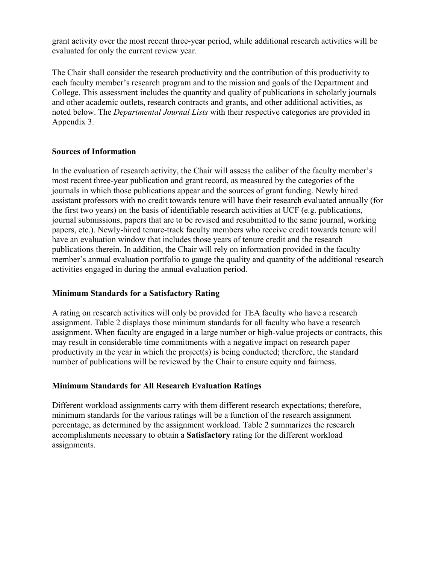grant activity over the most recent three-year period, while additional research activities will be evaluated for only the current review year.

The Chair shall consider the research productivity and the contribution of this productivity to each faculty member's research program and to the mission and goals of the Department and College. This assessment includes the quantity and quality of publications in scholarly journals and other academic outlets, research contracts and grants, and other additional activities, as noted below. The *Departmental Journal Lists* with their respective categories are provided in Appendix 3.

#### **Sources of Information**

In the evaluation of research activity, the Chair will assess the caliber of the faculty member's most recent three-year publication and grant record, as measured by the categories of the journals in which those publications appear and the sources of grant funding. Newly hired assistant professors with no credit towards tenure will have their research evaluated annually (for the first two years) on the basis of identifiable research activities at UCF (e.g. publications, journal submissions, papers that are to be revised and resubmitted to the same journal, working papers, etc.). Newly-hired tenure-track faculty members who receive credit towards tenure will have an evaluation window that includes those years of tenure credit and the research publications therein. In addition, the Chair will rely on information provided in the faculty member's annual evaluation portfolio to gauge the quality and quantity of the additional research activities engaged in during the annual evaluation period.

#### **Minimum Standards for a Satisfactory Rating**

A rating on research activities will only be provided for TEA faculty who have a research assignment. Table 2 displays those minimum standards for all faculty who have a research assignment. When faculty are engaged in a large number or high-value projects or contracts, this may result in considerable time commitments with a negative impact on research paper productivity in the year in which the project(s) is being conducted; therefore, the standard number of publications will be reviewed by the Chair to ensure equity and fairness.

# **Minimum Standards for All Research Evaluation Ratings**

Different workload assignments carry with them different research expectations; therefore, minimum standards for the various ratings will be a function of the research assignment percentage, as determined by the assignment workload. Table 2 summarizes the research accomplishments necessary to obtain a **Satisfactory** rating for the different workload assignments.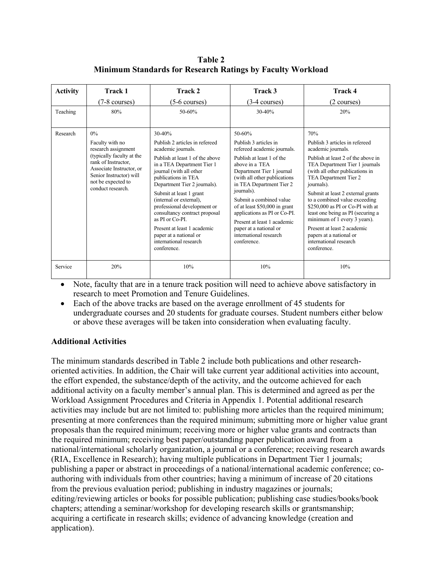**Table 2 Minimum Standards for Research Ratings by Faculty Workload**

| <b>Activity</b> | Track 1                                                                                                                                                                                               | Track 2                                                                                                                                                                                                                                                                                                                                                                                                                                                      | Track 3                                                                                                                                                                                                                                                                                                                                                                                                            | Track 4                                                                                                                                                                                                                                                                                                                                                                                                                                                                                         |
|-----------------|-------------------------------------------------------------------------------------------------------------------------------------------------------------------------------------------------------|--------------------------------------------------------------------------------------------------------------------------------------------------------------------------------------------------------------------------------------------------------------------------------------------------------------------------------------------------------------------------------------------------------------------------------------------------------------|--------------------------------------------------------------------------------------------------------------------------------------------------------------------------------------------------------------------------------------------------------------------------------------------------------------------------------------------------------------------------------------------------------------------|-------------------------------------------------------------------------------------------------------------------------------------------------------------------------------------------------------------------------------------------------------------------------------------------------------------------------------------------------------------------------------------------------------------------------------------------------------------------------------------------------|
|                 | $(7-8 \text{ courses})$                                                                                                                                                                               | $(5-6 \text{ courses})$                                                                                                                                                                                                                                                                                                                                                                                                                                      | $(3-4 \text{ courses})$                                                                                                                                                                                                                                                                                                                                                                                            | (2 courses)                                                                                                                                                                                                                                                                                                                                                                                                                                                                                     |
| Teaching        | 80%                                                                                                                                                                                                   | 50-60%                                                                                                                                                                                                                                                                                                                                                                                                                                                       | $30 - 40%$                                                                                                                                                                                                                                                                                                                                                                                                         | 20%                                                                                                                                                                                                                                                                                                                                                                                                                                                                                             |
| Research        | $0\%$<br>Faculty with no<br>research assignment<br>(typically faculty at the<br>rank of Instructor.<br>Associate Instructor, or<br>Senior Instructor) will<br>not be expected to<br>conduct research. | 30-40%<br>Publish 2 articles in refereed<br>academic journals.<br>Publish at least 1 of the above<br>in a TEA Department Tier 1<br>journal (with all other<br>publications in TEA<br>Department Tier 2 journals).<br>Submit at least 1 grant<br>(internal or external),<br>professional development or<br>consultancy contract proposal<br>as PI or Co-PI.<br>Present at least 1 academic<br>paper at a national or<br>international research<br>conference. | 50-60%<br>Publish 3 articles in<br>refereed academic journals.<br>Publish at least 1 of the<br>above in a TEA<br>Department Tier 1 journal<br>(with all other publications<br>in TEA Department Tier 2<br>journals).<br>Submit a combined value<br>of at least \$50,000 in grant<br>applications as PI or Co-PI.<br>Present at least 1 academic<br>paper at a national or<br>international research<br>conference. | 70%<br>Publish 3 articles in refereed<br>academic journals.<br>Publish at least 2 of the above in<br>TEA Department Tier 1 journals<br>(with all other publications in<br>TEA Department Tier 2<br>journals).<br>Submit at least 2 external grants<br>to a combined value exceeding<br>\$250,000 as PI or Co-PI with at<br>least one being as PI (securing a<br>minimum of 1 every 3 years).<br>Present at least 2 academic<br>papers at a national or<br>international research<br>conference. |
| Service         | 20%                                                                                                                                                                                                   | 10%                                                                                                                                                                                                                                                                                                                                                                                                                                                          | 10%                                                                                                                                                                                                                                                                                                                                                                                                                | 10%                                                                                                                                                                                                                                                                                                                                                                                                                                                                                             |

• Note, faculty that are in a tenure track position will need to achieve above satisfactory in research to meet Promotion and Tenure Guidelines.

• Each of the above tracks are based on the average enrollment of 45 students for undergraduate courses and 20 students for graduate courses. Student numbers either below or above these averages will be taken into consideration when evaluating faculty.

#### **Additional Activities**

The minimum standards described in Table 2 include both publications and other researchoriented activities. In addition, the Chair will take current year additional activities into account, the effort expended, the substance/depth of the activity, and the outcome achieved for each additional activity on a faculty member's annual plan. This is determined and agreed as per the Workload Assignment Procedures and Criteria in Appendix 1. Potential additional research activities may include but are not limited to: publishing more articles than the required minimum; presenting at more conferences than the required minimum; submitting more or higher value grant proposals than the required minimum; receiving more or higher value grants and contracts than the required minimum; receiving best paper/outstanding paper publication award from a national/international scholarly organization, a journal or a conference; receiving research awards (RIA, Excellence in Research); having multiple publications in Department Tier 1 journals; publishing a paper or abstract in proceedings of a national/international academic conference; coauthoring with individuals from other countries; having a minimum of increase of 20 citations from the previous evaluation period; publishing in industry magazines or journals; editing/reviewing articles or books for possible publication; publishing case studies/books/book chapters; attending a seminar/workshop for developing research skills or grantsmanship; acquiring a certificate in research skills; evidence of advancing knowledge (creation and application).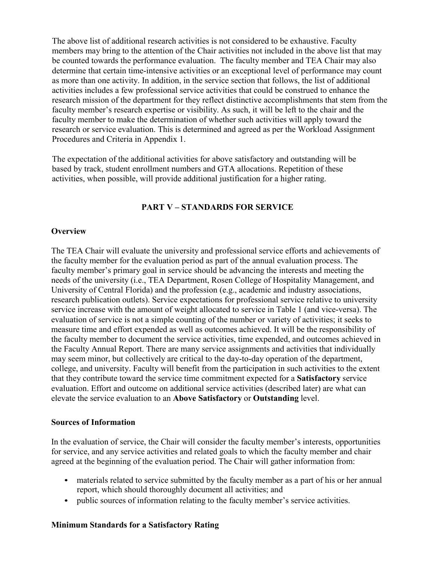The above list of additional research activities is not considered to be exhaustive. Faculty members may bring to the attention of the Chair activities not included in the above list that may be counted towards the performance evaluation. The faculty member and TEA Chair may also determine that certain time-intensive activities or an exceptional level of performance may count as more than one activity. In addition, in the service section that follows, the list of additional activities includes a few professional service activities that could be construed to enhance the research mission of the department for they reflect distinctive accomplishments that stem from the faculty member's research expertise or visibility. As such, it will be left to the chair and the faculty member to make the determination of whether such activities will apply toward the research or service evaluation. This is determined and agreed as per the Workload Assignment Procedures and Criteria in Appendix 1.

The expectation of the additional activities for above satisfactory and outstanding will be based by track, student enrollment numbers and GTA allocations. Repetition of these activities, when possible, will provide additional justification for a higher rating.

#### **PART V – STANDARDS FOR SERVICE**

#### **Overview**

The TEA Chair will evaluate the university and professional service efforts and achievements of the faculty member for the evaluation period as part of the annual evaluation process. The faculty member's primary goal in service should be advancing the interests and meeting the needs of the university (i.e., TEA Department, Rosen College of Hospitality Management, and University of Central Florida) and the profession (e.g., academic and industry associations, research publication outlets). Service expectations for professional service relative to university service increase with the amount of weight allocated to service in Table 1 (and vice-versa). The evaluation of service is not a simple counting of the number or variety of activities; it seeks to measure time and effort expended as well as outcomes achieved. It will be the responsibility of the faculty member to document the service activities, time expended, and outcomes achieved in the Faculty Annual Report. There are many service assignments and activities that individually may seem minor, but collectively are critical to the day-to-day operation of the department, college, and university. Faculty will benefit from the participation in such activities to the extent that they contribute toward the service time commitment expected for a **Satisfactory** service evaluation. Effort and outcome on additional service activities (described later) are what can elevate the service evaluation to an **Above Satisfactory** or **Outstanding** level.

#### **Sources of Information**

In the evaluation of service, the Chair will consider the faculty member's interests, opportunities for service, and any service activities and related goals to which the faculty member and chair agreed at the beginning of the evaluation period. The Chair will gather information from:

- materials related to service submitted by the faculty member as a part of his or her annual report, which should thoroughly document all activities; and
- public sources of information relating to the faculty member's service activities.

#### **Minimum Standards for a Satisfactory Rating**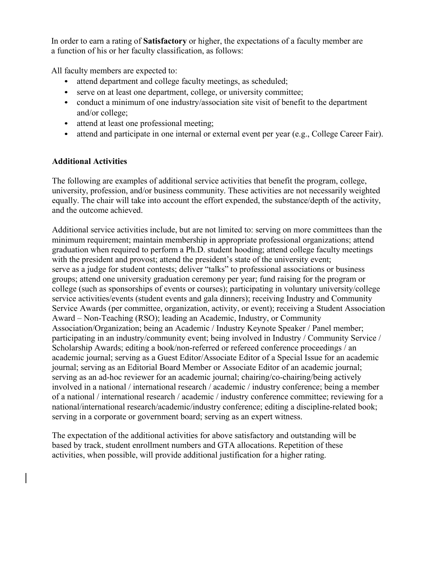In order to earn a rating of **Satisfactory** or higher, the expectations of a faculty member are a function of his or her faculty classification, as follows:

All faculty members are expected to:

- *•* attend department and college faculty meetings, as scheduled;
- serve on at least one department, college, or university committee;
- conduct a minimum of one industry/association site visit of benefit to the department and/or college;
- *•* attend at least one professional meeting;
- attend and participate in one internal or external event per year (e.g., College Career Fair).

#### **Additional Activities**

The following are examples of additional service activities that benefit the program, college, university, profession, and/or business community. These activities are not necessarily weighted equally. The chair will take into account the effort expended, the substance/depth of the activity, and the outcome achieved.

Additional service activities include, but are not limited to: serving on more committees than the minimum requirement; maintain membership in appropriate professional organizations; attend graduation when required to perform a Ph.D. student hooding; attend college faculty meetings with the president and provost; attend the president's state of the university event; serve as a judge for student contests; deliver "talks" to professional associations or business groups; attend one university graduation ceremony per year; fund raising for the program or college (such as sponsorships of events or courses); participating in voluntary university/college service activities/events (student events and gala dinners); receiving Industry and Community Service Awards (per committee, organization, activity, or event); receiving a Student Association Award – Non-Teaching (RSO); leading an Academic, Industry, or Community Association/Organization; being an Academic / Industry Keynote Speaker / Panel member; participating in an industry/community event; being involved in Industry / Community Service / Scholarship Awards; editing a book/non-referred or refereed conference proceedings / an academic journal; serving as a Guest Editor/Associate Editor of a Special Issue for an academic journal; serving as an Editorial Board Member or Associate Editor of an academic journal; serving as an ad-hoc reviewer for an academic journal; chairing/co-chairing/being actively involved in a national / international research / academic / industry conference; being a member of a national / international research / academic / industry conference committee; reviewing for a national/international research/academic/industry conference; editing a discipline-related book; serving in a corporate or government board; serving as an expert witness.

The expectation of the additional activities for above satisfactory and outstanding will be based by track, student enrollment numbers and GTA allocations. Repetition of these activities, when possible, will provide additional justification for a higher rating.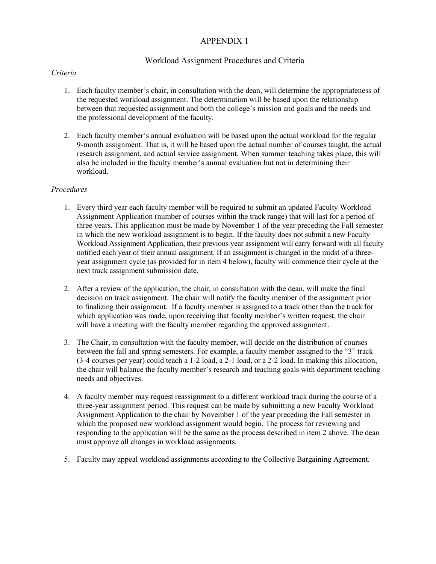#### APPENDIX 1

#### Workload Assignment Procedures and Criteria

#### *Criteria*

- 1. Each faculty member's chair, in consultation with the dean, will determine the appropriateness of the requested workload assignment. The determination will be based upon the relationship between that requested assignment and both the college's mission and goals and the needs and the professional development of the faculty.
- 2. Each faculty member's annual evaluation will be based upon the actual workload for the regular 9-month assignment. That is, it will be based upon the actual number of courses taught, the actual research assignment, and actual service assignment. When summer teaching takes place, this will also be included in the faculty member's annual evaluation but not in determining their workload.

#### *Procedures*

- 1. Every third year each faculty member will be required to submit an updated Faculty Workload Assignment Application (number of courses within the track range) that will last for a period of three years. This application must be made by November 1 of the year preceding the Fall semester in which the new workload assignment is to begin. If the faculty does not submit a new Faculty Workload Assignment Application, their previous year assignment will carry forward with all faculty notified each year of their annual assignment. If an assignment is changed in the midst of a threeyear assignment cycle (as provided for in item 4 below), faculty will commence their cycle at the next track assignment submission date.
- 2. After a review of the application, the chair, in consultation with the dean, will make the final decision on track assignment. The chair will notify the faculty member of the assignment prior to finalizing their assignment. If a faculty member is assigned to a track other than the track for which application was made, upon receiving that faculty member's written request, the chair will have a meeting with the faculty member regarding the approved assignment.
- 3. The Chair, in consultation with the faculty member, will decide on the distribution of courses between the fall and spring semesters. For example, a faculty member assigned to the "3" track (3-4 courses per year) could teach a 1-2 load, a 2-1 load, or a 2-2 load. In making this allocation, the chair will balance the faculty member's research and teaching goals with department teaching needs and objectives.
- 4. A faculty member may request reassignment to a different workload track during the course of a three-year assignment period. This request can be made by submitting a new Faculty Workload Assignment Application to the chair by November 1 of the year preceding the Fall semester in which the proposed new workload assignment would begin. The process for reviewing and responding to the application will be the same as the process described in item 2 above. The dean must approve all changes in workload assignments.
- 5. Faculty may appeal workload assignments according to the Collective Bargaining Agreement.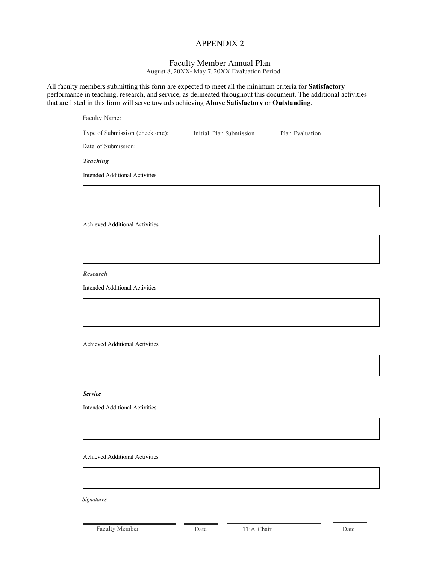#### APPENDIX 2

#### Faculty Member Annual Plan

August 8, 20XX- May 7, 20XX Evaluation Period

All faculty members submitting this form are expected to meet all the minimum criteria for **Satisfactory**  performance in teaching, research, and service, as delineated throughout this document. The additional activities that are listed in this form will serve towards achieving **Above Satisfactory** or **Outstanding**.

| Type of Submission (check one):       | Initial Plan Submission | Plan Evaluation |  |
|---------------------------------------|-------------------------|-----------------|--|
| Date of Submission:                   |                         |                 |  |
| <b>Teaching</b>                       |                         |                 |  |
| <b>Intended Additional Activities</b> |                         |                 |  |
|                                       |                         |                 |  |
|                                       |                         |                 |  |
| Achieved Additional Activities        |                         |                 |  |

*Research*

Faculty Name:

Intended Additional Activities

Achieved Additional Activities

#### *Service*

Intended Additional Activities

Achieved Additional Activities

*Signatures* 

Faculty Member Date Date TEA Chair Date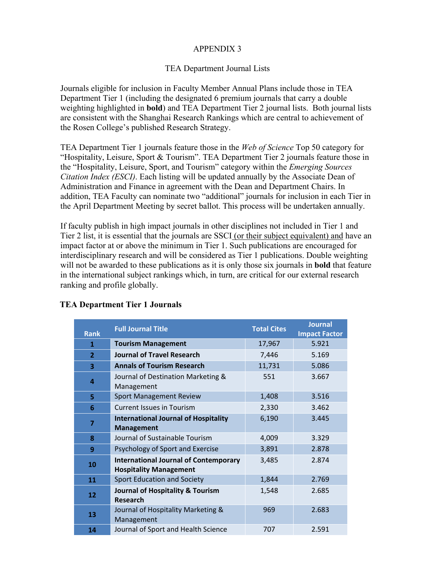# APPENDIX 3

#### TEA Department Journal Lists

Journals eligible for inclusion in Faculty Member Annual Plans include those in TEA Department Tier 1 (including the designated 6 premium journals that carry a double weighting highlighted in **bold**) and TEA Department Tier 2 journal lists. Both journal lists are consistent with the Shanghai Research Rankings which are central to achievement of the Rosen College's published Research Strategy.

TEA Department Tier 1 journals feature those in the *Web of Science* Top 50 category for "Hospitality, Leisure, Sport & Tourism". TEA Department Tier 2 journals feature those in the "Hospitality, Leisure, Sport, and Tourism" category within the *Emerging Sources Citation Index (ESCI)*. Each listing will be updated annually by the Associate Dean of Administration and Finance in agreement with the Dean and Department Chairs. In addition, TEA Faculty can nominate two "additional" journals for inclusion in each Tier in the April Department Meeting by secret ballot. This process will be undertaken annually.

If faculty publish in high impact journals in other disciplines not included in Tier 1 and Tier 2 list, it is essential that the journals are SSCI (or their subject equivalent) and have an impact factor at or above the minimum in Tier 1. Such publications are encouraged for interdisciplinary research and will be considered as Tier 1 publications. Double weighting will not be awarded to these publications as it is only those six journals in **bold** that feature in the international subject rankings which, in turn, are critical for our external research ranking and profile globally.

| <b>Rank</b>    | <b>Full Journal Title</b>                                                     | <b>Total Cites</b> | <b>Journal</b><br><b>Impact Factor</b> |
|----------------|-------------------------------------------------------------------------------|--------------------|----------------------------------------|
| 1              | <b>Tourism Management</b>                                                     | 17,967             | 5.921                                  |
| $\overline{2}$ | <b>Journal of Travel Research</b>                                             | 7,446              | 5.169                                  |
| 3              | <b>Annals of Tourism Research</b>                                             | 11,731             | 5.086                                  |
| 4              | Journal of Destination Marketing &<br>Management                              | 551                | 3.667                                  |
| 5              | <b>Sport Management Review</b>                                                | 1,408              | 3.516                                  |
| 6              | <b>Current Issues in Tourism</b>                                              | 2,330              | 3.462                                  |
| $\overline{7}$ | <b>International Journal of Hospitality</b><br><b>Management</b>              | 6,190              | 3.445                                  |
| 8              | Journal of Sustainable Tourism                                                | 4,009              | 3.329                                  |
| 9              | Psychology of Sport and Exercise                                              | 3,891              | 2.878                                  |
| 10             | <b>International Journal of Contemporary</b><br><b>Hospitality Management</b> | 3,485              | 2.874                                  |
| 11             | <b>Sport Education and Society</b>                                            | 1,844              | 2.769                                  |
| 12             | Journal of Hospitality & Tourism<br><b>Research</b>                           | 1,548              | 2.685                                  |
| 13             | Journal of Hospitality Marketing &<br>Management                              | 969                | 2.683                                  |
| 14             | Journal of Sport and Health Science                                           | 707                | 2.591                                  |

#### **TEA Department Tier 1 Journals**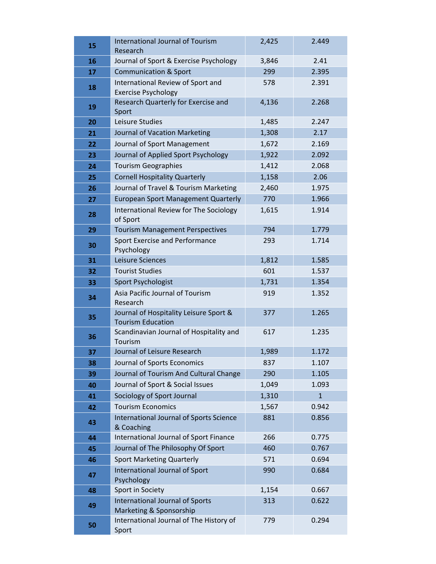| 15 | <b>International Journal of Tourism</b><br>Research                | 2,425 | 2.449        |
|----|--------------------------------------------------------------------|-------|--------------|
| 16 | Journal of Sport & Exercise Psychology                             | 3,846 | 2.41         |
| 17 | <b>Communication &amp; Sport</b>                                   | 299   | 2.395        |
| 18 | International Review of Sport and<br><b>Exercise Psychology</b>    | 578   | 2.391        |
| 19 | Research Quarterly for Exercise and<br>Sport                       | 4,136 | 2.268        |
| 20 | Leisure Studies                                                    | 1,485 | 2.247        |
| 21 | Journal of Vacation Marketing                                      | 1,308 | 2.17         |
| 22 | Journal of Sport Management                                        | 1,672 | 2.169        |
| 23 | Journal of Applied Sport Psychology                                | 1,922 | 2.092        |
| 24 | <b>Tourism Geographies</b>                                         | 1,412 | 2.068        |
| 25 | <b>Cornell Hospitality Quarterly</b>                               | 1,158 | 2.06         |
| 26 | Journal of Travel & Tourism Marketing                              | 2,460 | 1.975        |
| 27 | <b>European Sport Management Quarterly</b>                         | 770   | 1.966        |
| 28 | International Review for The Sociology<br>of Sport                 | 1,615 | 1.914        |
| 29 | <b>Tourism Management Perspectives</b>                             | 794   | 1.779        |
| 30 | Sport Exercise and Performance<br>Psychology                       | 293   | 1.714        |
| 31 | Leisure Sciences                                                   | 1,812 | 1.585        |
| 32 | <b>Tourist Studies</b>                                             | 601   | 1.537        |
| 33 | Sport Psychologist                                                 | 1,731 | 1.354        |
| 34 | Asia Pacific Journal of Tourism<br>Research                        | 919   | 1.352        |
| 35 | Journal of Hospitality Leisure Sport &<br><b>Tourism Education</b> | 377   | 1.265        |
| 36 | Scandinavian Journal of Hospitality and<br>Tourism                 | 617   | 1.235        |
| 37 | Journal of Leisure Research                                        | 1,989 | 1.172        |
| 38 | Journal of Sports Economics                                        | 837   | 1.107        |
| 39 | Journal of Tourism And Cultural Change                             | 290   | 1.105        |
| 40 | Journal of Sport & Social Issues                                   | 1,049 | 1.093        |
| 41 | Sociology of Sport Journal                                         | 1,310 | $\mathbf{1}$ |
| 42 | <b>Tourism Economics</b>                                           | 1,567 | 0.942        |
| 43 | International Journal of Sports Science<br>& Coaching              | 881   | 0.856        |
| 44 | International Journal of Sport Finance                             | 266   | 0.775        |
| 45 | Journal of The Philosophy Of Sport                                 | 460   | 0.767        |
| 46 | <b>Sport Marketing Quarterly</b>                                   | 571   | 0.694        |
| 47 | International Journal of Sport<br>Psychology                       | 990   | 0.684        |
| 48 | Sport in Society                                                   | 1,154 | 0.667        |
| 49 | International Journal of Sports<br>Marketing & Sponsorship         | 313   | 0.622        |
| 50 | International Journal of The History of<br>Sport                   | 779   | 0.294        |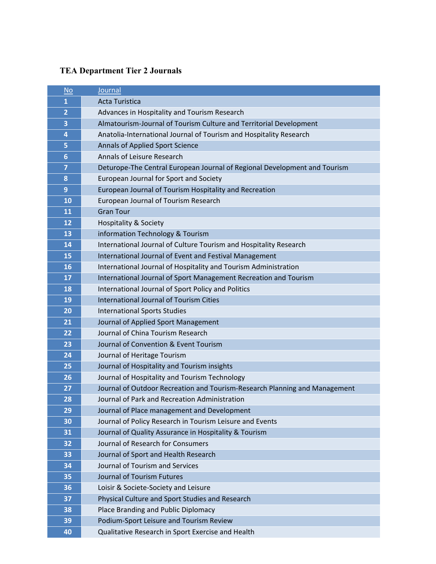# **TEA Department Tier 2 Journals**

| $No$                    | Journal                                                                    |
|-------------------------|----------------------------------------------------------------------------|
| $\mathbf{1}$            | <b>Acta Turistica</b>                                                      |
| $\overline{\mathbf{2}}$ | Advances in Hospitality and Tourism Research                               |
| з                       | Almatourism-Journal of Tourism Culture and Territorial Development         |
| 4                       | Anatolia-International Journal of Tourism and Hospitality Research         |
| 5                       | Annals of Applied Sport Science                                            |
| $6\phantom{1}$          | Annals of Leisure Research                                                 |
| 7                       | Deturope-The Central European Journal of Regional Development and Tourism  |
| 8                       | European Journal for Sport and Society                                     |
| 9                       | European Journal of Tourism Hospitality and Recreation                     |
| 10                      | European Journal of Tourism Research                                       |
| 11                      | <b>Gran Tour</b>                                                           |
| 12                      | <b>Hospitality &amp; Society</b>                                           |
| 13                      | information Technology & Tourism                                           |
| 14                      | International Journal of Culture Tourism and Hospitality Research          |
| 15                      | International Journal of Event and Festival Management                     |
| 16                      | International Journal of Hospitality and Tourism Administration            |
| 17                      | International Journal of Sport Management Recreation and Tourism           |
| 18                      | International Journal of Sport Policy and Politics                         |
| 19                      | <b>International Journal of Tourism Cities</b>                             |
| 20                      | <b>International Sports Studies</b>                                        |
| 21                      | Journal of Applied Sport Management                                        |
| 22                      | Journal of China Tourism Research                                          |
| 23                      | Journal of Convention & Event Tourism                                      |
| 24                      | Journal of Heritage Tourism                                                |
| 25                      | Journal of Hospitality and Tourism insights                                |
| 26                      | Journal of Hospitality and Tourism Technology                              |
| 27                      | Journal of Outdoor Recreation and Tourism-Research Planning and Management |
| 28                      | Journal of Park and Recreation Administration                              |
| 29                      | Journal of Place management and Development                                |
| 30                      | Journal of Policy Research in Tourism Leisure and Events                   |
| 31                      | Journal of Quality Assurance in Hospitality & Tourism                      |
| 32                      | Journal of Research for Consumers                                          |
| 33                      | Journal of Sport and Health Research                                       |
| 34                      | Journal of Tourism and Services                                            |
| 35                      | Journal of Tourism Futures                                                 |
| 36                      | Loisir & Societe-Society and Leisure                                       |
| 37                      | Physical Culture and Sport Studies and Research                            |
| 38                      | Place Branding and Public Diplomacy                                        |
| 39                      | Podium-Sport Leisure and Tourism Review                                    |
| 40                      | Qualitative Research in Sport Exercise and Health                          |